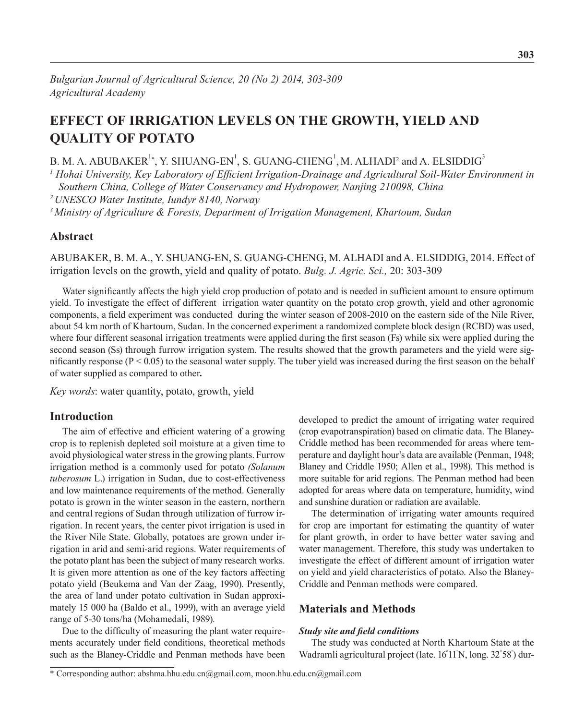# **EFFECT OF IRRIGATION LEVELS ON THE GROWTH, YIELD AND QUALITY OF POTATO**

## B. M. A. ABUBAKER $^{1*}$ , Y. SHUANG-EN $^{1}$ , S. GUANG-CHENG $^{1}$ , M. ALHADI $^{2}$  and A. ELSIDDIG $^{3}$

*1 Hohai University, Key Laboratory of Efficient Irrigation-Drainage and Agricultural Soil-Water Environment in Southern China, College of Water Conservancy and Hydropower, Nanjing 210098, China*

*2 UNESCO Water Institute, Iundyr 8140, Norway*

*<sup>3</sup>Ministry of Agriculture & Forests, Department of Irrigation Management, Khartoum, Sudan*

### **Abstract**

ABUBAKER, B. M. A., Y. SHUANG-EN, S. GUANG-CHENG, M. ALHADI and A. ELSIDDIG, 2014. Effect of irrigation levels on the growth, yield and quality of potato. *Bulg. J. Agric. Sci.,* 20: 303-309

Water significantly affects the high yield crop production of potato and is needed in sufficient amount to ensure optimum yield. To investigate the effect of different irrigation water quantity on the potato crop growth, yield and other agronomic components, a field experiment was conducted during the winter season of 2008-2010 on the eastern side of the Nile River, about 54 km north of Khartoum, Sudan. In the concerned experiment a randomized complete block design (RCBD) was used, where four different seasonal irrigation treatments were applied during the first season (Fs) while six were applied during the second season (Ss) through furrow irrigation system. The results showed that the growth parameters and the yield were significantly response  $(P < 0.05)$  to the seasonal water supply. The tuber yield was increased during the first season on the behalf of water supplied as compared to other**.**

*Key words*: water quantity, potato, growth, yield

### **Introduction**

The aim of effective and efficient watering of a growing crop is to replenish depleted soil moisture at a given time to avoid physiological water stress in the growing plants. Furrow irrigation method is a commonly used for potato *(Solanum tuberosum* L.) irrigation in Sudan, due to cost-effectiveness and low maintenance requirements of the method. Generally potato is grown in the winter season in the eastern, northern and central regions of Sudan through utilization of furrow irrigation. In recent years, the center pivot irrigation is used in the River Nile State. Globally, potatoes are grown under irrigation in arid and semi-arid regions. Water requirements of the potato plant has been the subject of many research works. It is given more attention as one of the key factors affecting potato yield (Beukema and Van der Zaag, 1990). Presently, the area of land under potato cultivation in Sudan approximately 15 000 ha (Baldo et al., 1999), with an average yield range of 5-30 tons/ha (Mohamedali, 1989).

Due to the difficulty of measuring the plant water requirements accurately under field conditions, theoretical methods such as the Blaney-Criddle and Penman methods have been

developed to predict the amount of irrigating water required (crop evapotranspiration) based on climatic data. The Blaney-Criddle method has been recommended for areas where temperature and daylight hour's data are available (Penman, 1948; Blaney and Criddle 1950; Allen et al., 1998). This method is more suitable for arid regions. The Penman method had been adopted for areas where data on temperature, humidity, wind and sunshine duration or radiation are available.

The determination of irrigating water amounts required for crop are important for estimating the quantity of water for plant growth, in order to have better water saving and water management. Therefore, this study was undertaken to investigate the effect of different amount of irrigation water on yield and yield characteristics of potato. Also the Blaney-Criddle and Penman methods were compared.

### **Materials and Methods**

#### *Study site and field conditions*

The study was conducted at North Khartoum State at the Wadramli agricultural project (late. 16<sup>º</sup> 11' N, long. 32° 58' ) dur-

<sup>\*</sup> Corresponding author: abshma.hhu.edu.cn@gmail.com, moon.hhu.edu.cn@gmail.com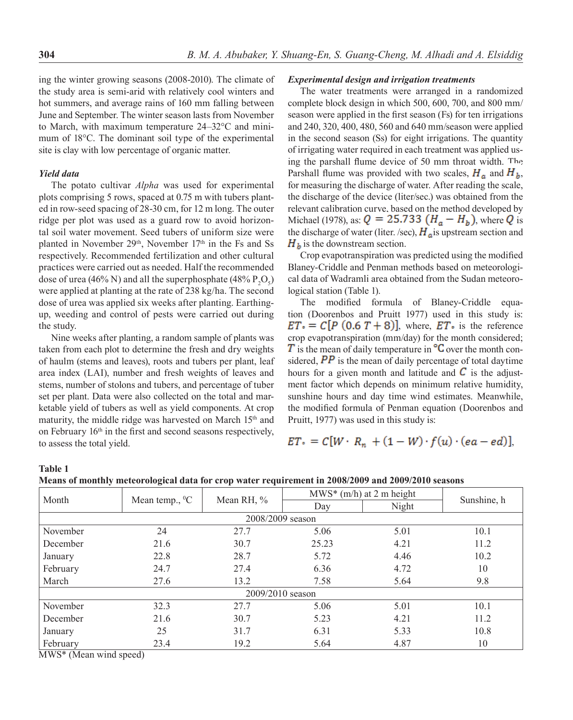ing the winter growing seasons (2008-2010). The climate of the study area is semi-arid with relatively cool winters and hot summers, and average rains of 160 mm falling between June and September. The winter season lasts from November to March, with maximum temperature 24–32°C and minimum of 18°C. The dominant soil type of the experimental site is clay with low percentage of organic matter.

### *Yield data*

The potato cultivar *Alpha* was used for experimental plots comprising 5 rows, spaced at 0.75 m with tubers planted in row-seed spacing of 28-30 cm, for 12 m long. The outer ridge per plot was used as a guard row to avoid horizontal soil water movement. Seed tubers of uniform size were planted in November 29<sup>th</sup>, November 17<sup>th</sup> in the Fs and Ss respectively. Recommended fertilization and other cultural practices were carried out as needed. Half the recommended dose of urea (46% N) and all the superphosphate (48%  $P_2O_5$ ) were applied at planting at the rate of 238 kg/ha. The second dose of urea was applied six weeks after planting. Earthingup, weeding and control of pests were carried out during the study.

Nine weeks after planting, a random sample of plants was taken from each plot to determine the fresh and dry weights of haulm (stems and leaves), roots and tubers per plant, leaf area index (LAI), number and fresh weights of leaves and stems, number of stolons and tubers, and percentage of tuber set per plant. Data were also collected on the total and marketable yield of tubers as well as yield components. At crop maturity, the middle ridge was harvested on March 15<sup>th</sup> and on February 16th in the first and second seasons respectively, to assess the total yield.

#### *Experimental design and irrigation treatments*

The water treatments were arranged in a randomized complete block design in which 500, 600, 700, and 800 mm/ season were applied in the first season (Fs) for ten irrigations and 240, 320, 400, 480, 560 and 640 mm/season were applied in the second season (Ss) for eight irrigations. The quantity of irrigating water required in each treatment was applied using the parshall flume device of 50 mm throat width. The Parshall flume was provided with two scales,  $H_a$  and  $H_b$ , for measuring the discharge of water. After reading the scale, the discharge of the device (liter/sec.) was obtained from the relevant calibration curve, based on the method developed by Michael (1978), as:  $Q = 25.733 (H_a - H_b)$ , where Q is the discharge of water (liter. /sec),  $H<sub>a</sub>$  is upstream section and  $H<sub>h</sub>$  is the downstream section.

Crop evapotranspiration was predicted using the modified Blaney-Criddle and Penman methods based on meteorological data of Wadramli area obtained from the Sudan meteorological station (Table 1).

The modified formula of Blaney-Criddle equation (Doorenbos and Pruitt 1977) used in this study is:  $ET = C[P (0.6 T + 8)]$ , where,  $ET =$  is the reference crop evapotranspiration (mm/day) for the month considered;  $\overline{T}$  is the mean of daily temperature in  $\overline{C}$  over the month considered,  $\overline{PP}$  is the mean of daily percentage of total daytime hours for a given month and latitude and  $\overline{C}$  is the adjustment factor which depends on minimum relative humidity, sunshine hours and day time wind estimates. Meanwhile, the modified formula of Penman equation (Doorenbos and Pruitt, 1977) was used in this study is:

$$
ET = C[W \cdot R_n + (1 - W) \cdot f(u) \cdot (ea - ed)],
$$

| v<br>×<br>۰,<br>۰.<br>v<br>۰.<br>× |  |
|------------------------------------|--|
|                                    |  |

| Means of monthly meteorological data for crop water requirement in 2008/2009 and 2009/2010 seasons |  |
|----------------------------------------------------------------------------------------------------|--|
|----------------------------------------------------------------------------------------------------|--|

|                  | $\tilde{}$          | л.                 |       | $MWS^*$ (m/h) at 2 m height |             |
|------------------|---------------------|--------------------|-------|-----------------------------|-------------|
| Month            | Mean temp., ${}^0C$ | Mean RH, %         | Day   | Night                       | Sunshine, h |
| 2008/2009 season |                     |                    |       |                             |             |
| November         | 24                  | 27.7               | 5.06  | 5.01                        | 10.1        |
| December         | 21.6                | 30.7               | 25.23 | 4.21                        | 11.2        |
| January          | 22.8                | 28.7               | 5.72  | 4.46                        | 10.2        |
| February         | 24.7                | 27.4               | 6.36  | 4.72                        | 10          |
| March            | 27.6                | 13.2               | 7.58  | 5.64                        | 9.8         |
|                  |                     | $2009/2010$ season |       |                             |             |
| November         | 32.3                | 27.7               | 5.06  | 5.01                        | 10.1        |
| December         | 21.6                | 30.7               | 5.23  | 4.21                        | 11.2        |
| January          | 25                  | 31.7               | 6.31  | 5.33                        | 10.8        |
| February         | 23.4                | 19.2               | 5.64  | 4.87                        | 10          |

MWS\* (Mean wind speed)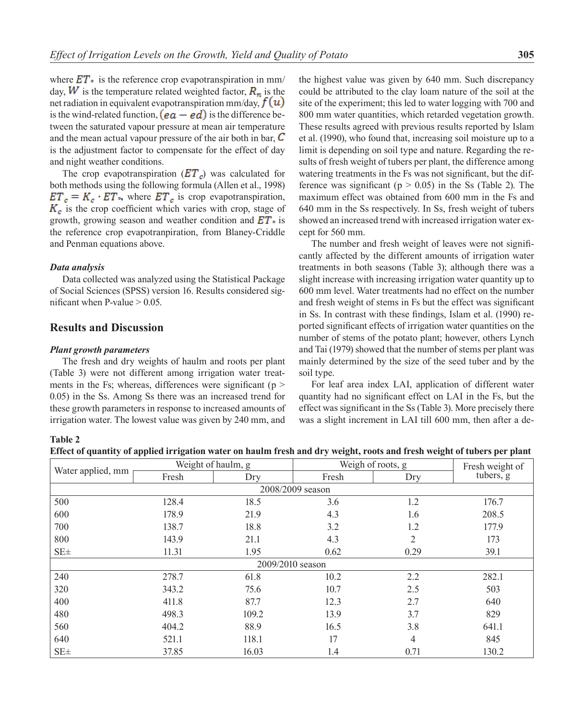where  $ET_{\bullet}$  is the reference crop evapotranspiration in mm/ day, **W** is the temperature related weighted factor,  $\mathbf{R}_n$  is the net radiation in equivalent evapotranspiration mm/day,  $f(u)$ is the wind-related function,  $(ea - ed)$  is the difference between the saturated vapour pressure at mean air temperature and the mean actual vapour pressure of the air both in bar,  $\mathcal C$ is the adjustment factor to compensate for the effect of day and night weather conditions.

The crop evapotranspiration  $(ET_c)$  was calculated for both methods using the following formula (Allen et al., 1998)  $ET_c = K_c \cdot ET$ , where  $ET_c$  is crop evapotranspiration,  $K_c$  is the crop coefficient which varies with crop, stage of growth, growing season and weather condition and  $ET \cdot$  is the reference crop evapotranpiration, from Blaney-Criddle and Penman equations above.

#### *Data analysis*

**Table 2**

Data collected was analyzed using the Statistical Package of Social Sciences (SPSS) version 16. Results considered significant when P-value  $> 0.05$ .

### **Results and Discussion**

#### *Plant growth parameters*

The fresh and dry weights of haulm and roots per plant (Table 3) were not different among irrigation water treatments in the Fs; whereas, differences were significant ( $p$  > 0.05) in the Ss. Among Ss there was an increased trend for these growth parameters in response to increased amounts of irrigation water. The lowest value was given by 240 mm, and

the highest value was given by 640 mm. Such discrepancy could be attributed to the clay loam nature of the soil at the site of the experiment; this led to water logging with 700 and 800 mm water quantities, which retarded vegetation growth. These results agreed with previous results reported by Islam et al. (1990), who found that, increasing soil moisture up to a limit is depending on soil type and nature. Regarding the results of fresh weight of tubers per plant, the difference among watering treatments in the Fs was not significant, but the difference was significant ( $p > 0.05$ ) in the Ss (Table 2). The maximum effect was obtained from 600 mm in the Fs and 640 mm in the Ss respectively. In Ss, fresh weight of tubers showed an increased trend with increased irrigation water except for 560 mm.

The number and fresh weight of leaves were not significantly affected by the different amounts of irrigation water treatments in both seasons (Table 3); although there was a slight increase with increasing irrigation water quantity up to 600 mm level. Water treatments had no effect on the number and fresh weight of stems in Fs but the effect was significant in Ss. In contrast with these findings, Islam et al. (1990) reported significant effects of irrigation water quantities on the number of stems of the potato plant; however, others Lynch and Tai (1979) showed that the number of stems per plant was mainly determined by the size of the seed tuber and by the soil type.

For leaf area index LAI, application of different water quantity had no significant effect on LAI in the Fs, but the effect was significant in the Ss (Table 3). More precisely there was a slight increment in LAI till 600 mm, then after a de-

|  |  |  | Effect of quantity of applied irrigation water on haulm fresh and dry weight, roots and fresh weight of tubers per plant |  |  |
|--|--|--|--------------------------------------------------------------------------------------------------------------------------|--|--|
|  |  |  |                                                                                                                          |  |  |

|                   | Weight of haulm, g |                  | Weigh of roots, g | Fresh weight of |           |
|-------------------|--------------------|------------------|-------------------|-----------------|-----------|
| Water applied, mm | Fresh              | Dry              | Fresh             | Dry             | tubers, g |
|                   |                    |                  | 2008/2009 season  |                 |           |
| 500               | 128.4              | 18.5             | 3.6               | 1.2             | 176.7     |
| 600               | 178.9              | 21.9             | 4.3               | 1.6             | 208.5     |
| 700               | 138.7              | 18.8             | 3.2               | 1.2             | 177.9     |
| 800               | 143.9              | 21.1             | 4.3               | 2               | 173       |
| $SE\pm$           | 11.31              | 1.95             | 0.62              | 0.29            | 39.1      |
|                   |                    | 2009/2010 season |                   |                 |           |
| 240               | 278.7              | 61.8             | 10.2              | 2.2             | 282.1     |
| 320               | 343.2              | 75.6             | 10.7              | 2.5             | 503       |
| 400               | 411.8              | 87.7             | 12.3              | 2.7             | 640       |
| 480               | 498.3              | 109.2            | 13.9              | 3.7             | 829       |
| 560               | 404.2              | 88.9             | 16.5              | 3.8             | 641.1     |
| 640               | 521.1              | 118.1            | 17                | 4               | 845       |
| $SE \pm$          | 37.85              | 16.03            | 1.4               | 0.71            | 130.2     |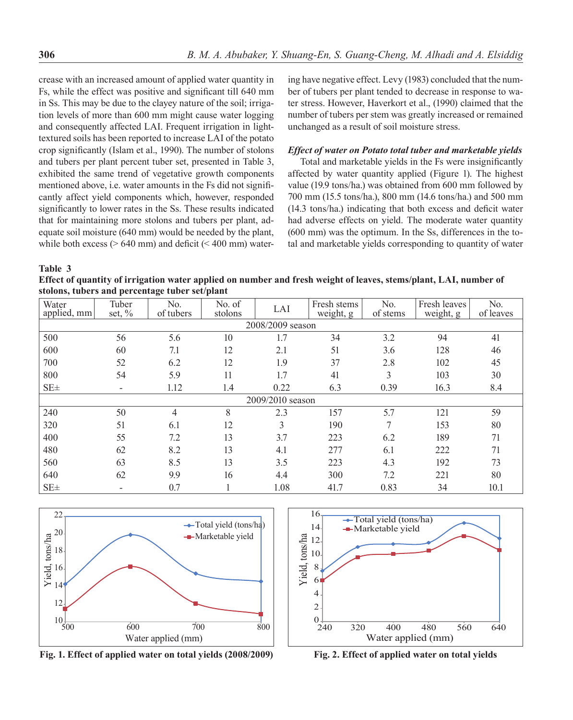crease with an increased amount of applied water quantity in Fs, while the effect was positive and significant till 640 mm in Ss. This may be due to the clayey nature of the soil; irrigation levels of more than 600 mm might cause water logging and consequently affected LAI. Frequent irrigation in lighttextured soils has been reported to increase LAI of the potato crop significantly (Islam et al., 1990). The number of stolons and tubers per plant percent tuber set, presented in Table 3, exhibited the same trend of vegetative growth components mentioned above, i.e. water amounts in the Fs did not significantly affect yield components which, however, responded significantly to lower rates in the Ss. These results indicated that for maintaining more stolons and tubers per plant, adequate soil moisture (640 mm) would be needed by the plant, while both excess ( $> 640$  mm) and deficit ( $< 400$  mm) water-

ing have negative effect. Levy (1983) concluded that the number of tubers per plant tended to decrease in response to water stress. However, Haverkort et al., (1990) claimed that the number of tubers per stem was greatly increased or remained unchanged as a result of soil moisture stress.

### *Effect of water on Potato total tuber and marketable yields*

Total and marketable yields in the Fs were insignificantly affected by water quantity applied (Figure 1). The highest value (19.9 tons/ha.) was obtained from 600 mm followed by 700 mm (15.5 tons/ha.), 800 mm (14.6 tons/ha.) and 500 mm (14.3 tons/ha.) indicating that both excess and deficit water had adverse effects on yield. The moderate water quantity (600 mm) was the optimum. In the Ss, differences in the total and marketable yields corresponding to quantity of water

**Table 3**

**Effect of quantity of irrigation water applied on number and fresh weight of leaves, stems/plant, LAI, number of stolons, tubers and percentage tuber set/plant**

| Water<br>applied, mm | Tuber<br>set, $\%$       | No.<br>of tubers | No. of<br>stolons | LAI              | Fresh stems<br>weight, g | No.<br>of stems | Fresh leaves<br>weight, g | No.<br>of leaves |
|----------------------|--------------------------|------------------|-------------------|------------------|--------------------------|-----------------|---------------------------|------------------|
|                      |                          |                  |                   | 2008/2009 season |                          |                 |                           |                  |
| 500                  | 56                       | 5.6              | 10                | 1.7              | 34                       | 3.2             | 94                        | 41               |
| 600                  | 60                       | 7.1              | 12                | 2.1              | 51                       | 3.6             | 128                       | 46               |
| 700                  | 52                       | 6.2              | 12                | 1.9              | 37                       | 2.8             | 102                       | 45               |
| 800                  | 54                       | 5.9              | 11                | 1.7              | 41                       | 3               | 103                       | 30               |
| $SE \pm$             | $\sim$                   | 1.12             | 1.4               | 0.22             | 6.3                      | 0.39            | 16.3                      | 8.4              |
|                      |                          |                  |                   | 2009/2010 season |                          |                 |                           |                  |
| 240                  | 50                       | 4                | 8                 | 2.3              | 157                      | 5.7             | 121                       | 59               |
| 320                  | 51                       | 6.1              | 12                | 3                | 190                      | 7               | 153                       | 80               |
| 400                  | 55                       | 7.2              | 13                | 3.7              | 223                      | 6.2             | 189                       | 71               |
| 480                  | 62                       | 8.2              | 13                | 4.1              | 277                      | 6.1             | 222                       | 71               |
| 560                  | 63                       | 8.5              | 13                | 3.5              | 223                      | 4.3             | 192                       | 73               |
| 640                  | 62                       | 9.9              | 16                | 4.4              | 300                      | 7.2             | 221                       | 80               |
| $SE \pm$             | $\overline{\phantom{0}}$ | 0.7              |                   | 1.08             | 41.7                     | 0.83            | 34                        | 10.1             |



**Fig. 1. Effect of applied water on total yields (2008/2009)**



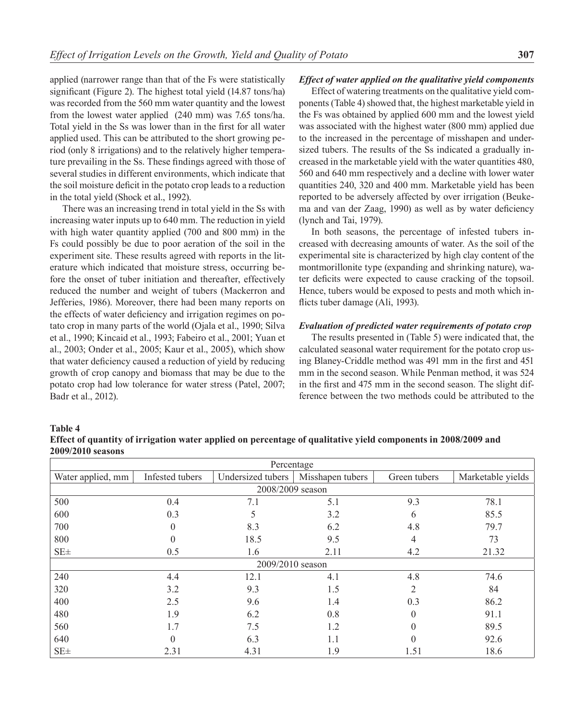applied (narrower range than that of the Fs were statistically significant (Figure 2). The highest total yield (14.87 tons/ha) was recorded from the 560 mm water quantity and the lowest from the lowest water applied (240 mm) was 7.65 tons/ha. Total yield in the Ss was lower than in the first for all water applied used. This can be attributed to the short growing period (only 8 irrigations) and to the relatively higher temperature prevailing in the Ss. These findings agreed with those of several studies in different environments, which indicate that the soil moisture deficit in the potato crop leads to a reduction in the total yield (Shock et al., 1992).

There was an increasing trend in total yield in the Ss with increasing water inputs up to 640 mm. The reduction in yield with high water quantity applied (700 and 800 mm) in the Fs could possibly be due to poor aeration of the soil in the experiment site. These results agreed with reports in the literature which indicated that moisture stress, occurring before the onset of tuber initiation and thereafter, effectively reduced the number and weight of tubers (Mackerron and Jefferies, 1986). Moreover, there had been many reports on the effects of water deficiency and irrigation regimes on potato crop in many parts of the world (Ojala et al., 1990; Silva et al., 1990; Kincaid et al., 1993; Fabeiro et al., 2001; Yuan et al., 2003; Onder et al., 2005; Kaur et al., 2005), which show that water deficiency caused a reduction of yield by reducing growth of crop canopy and biomass that may be due to the potato crop had low tolerance for water stress (Patel, 2007; Badr et al., 2012).

### *Effect of water applied on the qualitative yield components*

Effect of watering treatments on the qualitative yield components (Table 4) showed that, the highest marketable yield in the Fs was obtained by applied 600 mm and the lowest yield was associated with the highest water (800 mm) applied due to the increased in the percentage of misshapen and undersized tubers. The results of the Ss indicated a gradually increased in the marketable yield with the water quantities 480, 560 and 640 mm respectively and a decline with lower water quantities 240, 320 and 400 mm. Marketable yield has been reported to be adversely affected by over irrigation (Beukema and van der Zaag, 1990) as well as by water deficiency (lynch and Tai, 1979).

In both seasons, the percentage of infested tubers increased with decreasing amounts of water. As the soil of the experimental site is characterized by high clay content of the montmorillonite type (expanding and shrinking nature), water deficits were expected to cause cracking of the topsoil. Hence, tubers would be exposed to pests and moth which inflicts tuber damage (Ali, 1993).

#### *Evaluation of predicted water requirements of potato crop*

The results presented in (Table 5) were indicated that, the calculated seasonal water requirement for the potato crop using Blaney-Criddle method was 491 mm in the first and 451 mm in the second season. While Penman method, it was 524 in the first and 475 mm in the second season. The slight difference between the two methods could be attributed to the

#### **Table 4**

**Effect of quantity of irrigation water applied on percentage of qualitative yield components in 2008/2009 and 2009/2010 seasons**

|                   |                                                                          | Percentage       |                   |          |       |
|-------------------|--------------------------------------------------------------------------|------------------|-------------------|----------|-------|
| Water applied, mm | Infested tubers<br>Undersized tubers<br>Misshapen tubers<br>Green tubers |                  | Marketable yields |          |       |
|                   |                                                                          | 2008/2009 season |                   |          |       |
| 500               | 0.4                                                                      | 7.1              | 5.1               | 9.3      | 78.1  |
| 600               | 0.3                                                                      | 5                | 3.2               | 6        | 85.5  |
| 700               | 0                                                                        | 8.3              | 6.2               | 4.8      | 79.7  |
| 800               | 0                                                                        | 18.5             | 9.5               | 4        | 73    |
| $SE \pm$          | 0.5                                                                      | 1.6              | 2.11              | 4.2      | 21.32 |
|                   |                                                                          | 2009/2010 season |                   |          |       |
| 240               | 4.4                                                                      | 12.1             | 4.1               | 4.8      | 74.6  |
| 320               | 3.2                                                                      | 9.3              | 1.5               | 2        | 84    |
| 400               | 2.5                                                                      | 9.6              | 1.4               | 0.3      | 86.2  |
| 480               | 1.9                                                                      | 6.2              | 0.8               | $\theta$ | 91.1  |
| 560               | 1.7                                                                      | 7.5              | 1.2               | 0        | 89.5  |
| 640               | $\theta$                                                                 | 6.3              | 1.1               | 0        | 92.6  |
| $SE \pm$          | 2.31                                                                     | 4.31             | 1.9               | 1.51     | 18.6  |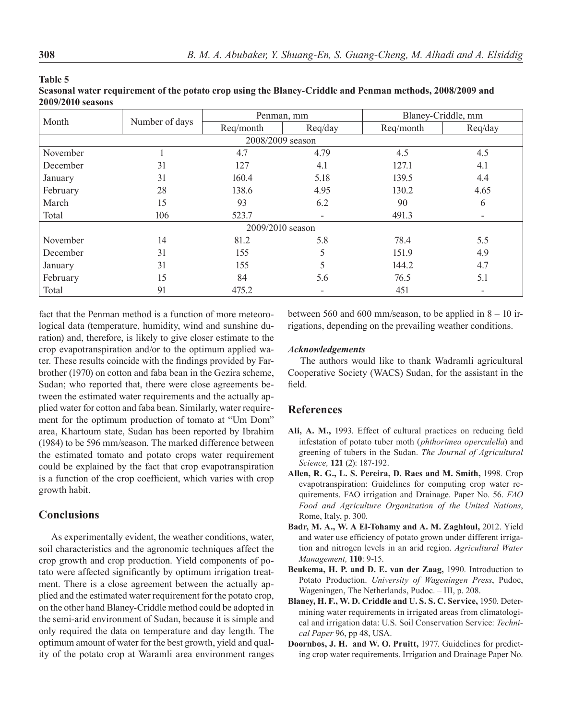|          |                | Penman, mm       |         | Blaney-Criddle, mm |                              |  |
|----------|----------------|------------------|---------|--------------------|------------------------------|--|
| Month    | Number of days | Req/month        | Req/day | Req/month          | Req/day                      |  |
|          |                | 2008/2009 season |         |                    |                              |  |
| November |                | 4.7              | 4.79    | 4.5                | 4.5                          |  |
| December | 31             | 127              | 4.1     | 127.1              | 4.1                          |  |
| January  | 31             | 160.4            | 5.18    | 139.5              | 4.4                          |  |
| February | 28             | 138.6            | 4.95    | 130.2              | 4.65                         |  |
| March    | 15             | 93               | 6.2     | 90                 | 6                            |  |
| Total    | 106            | 523.7            |         | 491.3              | $\qquad \qquad \blacksquare$ |  |
|          |                | 2009/2010 season |         |                    |                              |  |
| November | 14             | 81.2             | 5.8     | 78.4               | 5.5                          |  |
| December | 31             | 155              | 5       | 151.9              | 4.9                          |  |
| January  | 31             | 155              | 5       | 144.2              | 4.7                          |  |
| February | 15             | 84               | 5.6     | 76.5               | 5.1                          |  |
| Total    | 91             | 475.2            |         | 451                | $\qquad \qquad \blacksquare$ |  |

| --------                                                                                                 |
|----------------------------------------------------------------------------------------------------------|
| Seasonal water requirement of the potato crop using the Blaney-Criddle and Penman methods, 2008/2009 and |
| <b>2009/2010 seasons</b>                                                                                 |

fact that the Penman method is a function of more meteorological data (temperature, humidity, wind and sunshine duration) and, therefore, is likely to give closer estimate to the crop evapotranspiration and/or to the optimum applied water. These results coincide with the findings provided by Farbrother (1970) on cotton and faba bean in the Gezira scheme, Sudan; who reported that, there were close agreements between the estimated water requirements and the actually applied water for cotton and faba bean. Similarly, water requirement for the optimum production of tomato at "Um Dom" area, Khartoum state, Sudan has been reported by Ibrahim (1984) to be 596 mm/season. The marked difference between the estimated tomato and potato crops water requirement could be explained by the fact that crop evapotranspiration is a function of the crop coefficient, which varies with crop growth habit.

### **Conclusions**

As experimentally evident, the weather conditions, water, soil characteristics and the agronomic techniques affect the crop growth and crop production. Yield components of potato were affected significantly by optimum irrigation treatment. There is a close agreement between the actually applied and the estimated water requirement for the potato crop, on the other hand Blaney-Criddle method could be adopted in the semi-arid environment of Sudan, because it is simple and only required the data on temperature and day length. The optimum amount of water for the best growth, yield and quality of the potato crop at Waramli area environment ranges between 560 and 600 mm/season, to be applied in  $8 - 10$  irrigations, depending on the prevailing weather conditions.

### *Acknowledgements*

The authors would like to thank Wadramli agricultural Cooperative Society (WACS) Sudan, for the assistant in the field.

### **References**

- **Ali, A. M.,** 1993. Effect of cultural practices on reducing field infestation of potato tuber moth (*phthorimea operculella*) and greening of tubers in the Sudan. *The Journal of Agricultural Science,* **121** (2): 187-192.
- **Allen, R. G., L. S. Pereira, D. Raes and M. Smith,** 1998. Crop evapotranspiration: Guidelines for computing crop water requirements. FAO irrigation and Drainage. Paper No. 56. *FAO Food and Agriculture Organization of the United Nations*, Rome, Italy, p. 300.
- **Badr, M. A., W. A El-Tohamy and A. M. Zaghloul,** 2012. Yield and water use efficiency of potato grown under different irrigation and nitrogen levels in an arid region. *Agricultural Water Management,* **110**: 9-15.
- **Beukema, H. P. and D. E. van der Zaag,** 1990. Introduction to Potato Production. *University of Wageningen Press*, Pudoc, Wageningen, The Netherlands, Pudoc. – III, p. 208.
- **Blaney, H. F., W. D. Criddle and U. S. S. C. Service,** 1950. Determining water requirements in irrigated areas from climatological and irrigation data: U.S. Soil Conservation Service: *Technical Paper* 96, pp 48, USA.
- **Doornbos, J. H. and W. O. Pruitt,** 1977. Guidelines for predicting crop water requirements. Irrigation and Drainage Paper No.

**Table 5**